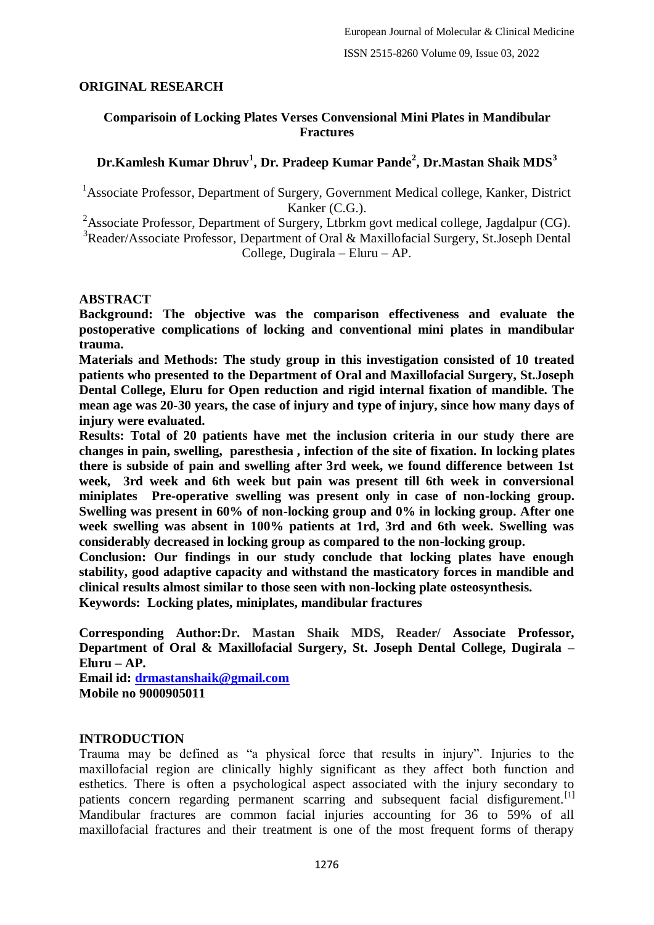## **ORIGINAL RESEARCH**

## **Comparisoin of Locking Plates Verses Convensional Mini Plates in Mandibular Fractures**

# **Dr.Kamlesh Kumar Dhruv<sup>1</sup> , Dr. Pradeep Kumar Pande<sup>2</sup> , Dr.Mastan Shaik MDS<sup>3</sup>**

<sup>1</sup>Associate Professor, Department of Surgery, Government Medical college, Kanker, District Kanker (C.G.).

<sup>2</sup>Associate Professor, Department of Surgery, Ltbrkm govt medical college, Jagdalpur (CG).

<sup>3</sup>Reader/Associate Professor, Department of Oral & Maxillofacial Surgery, St.Joseph Dental College, Dugirala – Eluru – AP.

#### **ABSTRACT**

**Background: The objective was the comparison effectiveness and evaluate the postoperative complications of locking and conventional mini plates in mandibular trauma.**

**Materials and Methods: The study group in this investigation consisted of 10 treated patients who presented to the Department of Oral and Maxillofacial Surgery, St.Joseph Dental College, Eluru for Open reduction and rigid internal fixation of mandible. The mean age was 20-30 years, the case of injury and type of injury, since how many days of injury were evaluated.**

**Results: Total of 20 patients have met the inclusion criteria in our study there are changes in pain, swelling, paresthesia , infection of the site of fixation. In locking plates there is subside of pain and swelling after 3rd week, we found difference between 1st week, 3rd week and 6th week but pain was present till 6th week in conversional miniplates Pre-operative swelling was present only in case of non-locking group. Swelling was present in 60% of non-locking group and 0% in locking group. After one week swelling was absent in 100% patients at 1rd, 3rd and 6th week. Swelling was considerably decreased in locking group as compared to the non-locking group.**

**Conclusion: Our findings in our study conclude that locking plates have enough stability, good adaptive capacity and withstand the masticatory forces in mandible and clinical results almost similar to those seen with non-locking plate osteosynthesis.**

**Keywords: Locking plates, miniplates, mandibular fractures**

**Corresponding Author:Dr. Mastan Shaik MDS, Reader/ Associate Professor, Department of Oral & Maxillofacial Surgery, St. Joseph Dental College, Dugirala – Eluru – AP.**

**Email id: [drmastanshaik@gmail.com](mailto:drmastanshaik@gmail.com) Mobile no 9000905011**

### **INTRODUCTION**

Trauma may be defined as "a physical force that results in injury". Injuries to the maxillofacial region are clinically highly significant as they affect both function and esthetics. There is often a psychological aspect associated with the injury secondary to patients concern regarding permanent scarring and subsequent facial disfigurement.<sup>[1]</sup> Mandibular fractures are common facial injuries accounting for 36 to 59% of all maxillofacial fractures and their treatment is one of the most frequent forms of therapy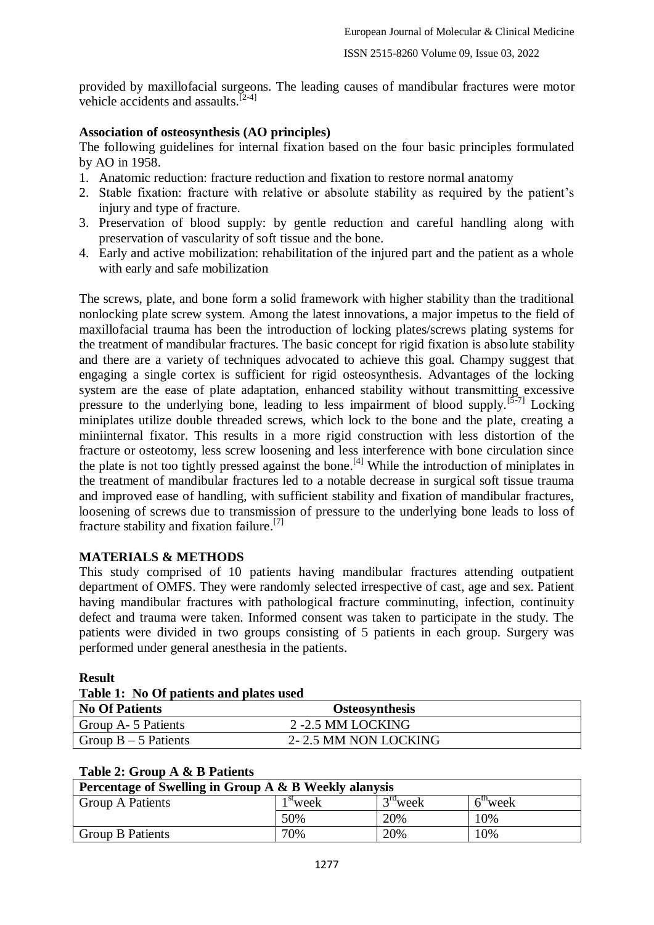provided by maxillofacial surgeons. The leading causes of mandibular fractures were motor vehicle accidents and assaults.<sup>[2-4]</sup>

## **Association of osteosynthesis (AO principles)**

The following guidelines for internal fixation based on the four basic principles formulated by AO in 1958.

- 1. Anatomic reduction: fracture reduction and fixation to restore normal anatomy
- 2. Stable fixation: fracture with relative or absolute stability as required by the patient's injury and type of fracture.
- 3. Preservation of blood supply: by gentle reduction and careful handling along with preservation of vascularity of soft tissue and the bone.
- 4. Early and active mobilization: rehabilitation of the injured part and the patient as a whole with early and safe mobilization

The screws, plate, and bone form a solid framework with higher stability than the traditional nonlocking plate screw system. Among the latest innovations, a major impetus to the field of maxillofacial trauma has been the introduction of locking plates/screws plating systems for the treatment of mandibular fractures. The basic concept for rigid fixation is absolute stability and there are a variety of techniques advocated to achieve this goal. Champy suggest that engaging a single cortex is sufficient for rigid osteosynthesis. Advantages of the locking system are the ease of plate adaptation, enhanced stability without transmitting excessive pressure to the underlying bone, leading to less impairment of blood supply.<sup>[5-7]</sup> Locking miniplates utilize double threaded screws, which lock to the bone and the plate, creating a miniinternal fixator. This results in a more rigid construction with less distortion of the fracture or osteotomy, less screw loosening and less interference with bone circulation since the plate is not too tightly pressed against the bone.<sup>[4]</sup> While the introduction of miniplates in the treatment of mandibular fractures led to a notable decrease in surgical soft tissue trauma and improved ease of handling, with sufficient stability and fixation of mandibular fractures, loosening of screws due to transmission of pressure to the underlying bone leads to loss of fracture stability and fixation failure. [7]

## **MATERIALS & METHODS**

This study comprised of 10 patients having mandibular fractures attending outpatient department of OMFS. They were randomly selected irrespective of cast, age and sex. Patient having mandibular fractures with pathological fracture comminuting, infection, continuity defect and trauma were taken. Informed consent was taken to participate in the study. The patients were divided in two groups consisting of 5 patients in each group. Surgery was performed under general anesthesia in the patients.

### **Result**

#### **Table 1: No Of patients and plates used**

| TWOTE IT THE OT PRESENTED WITH PIREOD WOOD. |                       |  |
|---------------------------------------------|-----------------------|--|
| <b>No Of Patients</b>                       | <b>Osteosynthesis</b> |  |
| Group A- 5 Patients                         | 2 - 2.5 MM LOCKING    |  |
| Group $B - 5$ Patients                      | 2-2.5 MM NON LOCKING  |  |

| Table 2: Group A & B Patients |
|-------------------------------|
|-------------------------------|

| Percentage of Swelling in Group A & B Weekly alanysis |                      |            |                  |  |  |
|-------------------------------------------------------|----------------------|------------|------------------|--|--|
| <b>Group A Patients</b>                               | <sup>1 st</sup> week | $3rd$ week | $6^{\circ}$ week |  |  |
|                                                       | 50%                  | 20%        | $0\%$            |  |  |
| <b>Group B Patients</b>                               | 70%                  | 20%        | $0\%$            |  |  |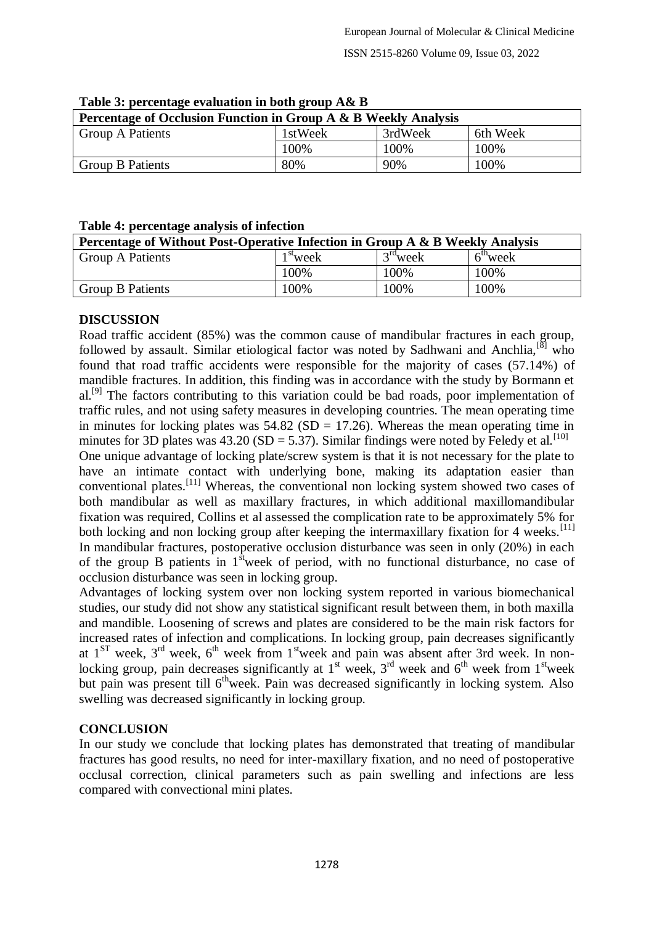| Percentage of Occlusion Function in Group A & B Weekly Analysis |         |         |          |  |  |
|-----------------------------------------------------------------|---------|---------|----------|--|--|
| <b>Group A Patients</b>                                         | 1stWeek | 3rdWeek | 6th Week |  |  |
|                                                                 | 100%    | 100%    | 100%     |  |  |
| <b>Group B Patients</b>                                         | 80%     | 90%     | 100%     |  |  |

#### **Table 3: percentage evaluation in both group A& B**

#### **Table 4: percentage analysis of infection**

| Percentage of Without Post-Operative Infection in Group A & B Weekly Analysis |            |            |            |  |
|-------------------------------------------------------------------------------|------------|------------|------------|--|
| <b>Group A Patients</b>                                                       | $1st$ week | $3rd$ week | $6th$ week |  |
|                                                                               | 100%       | 100%       | 100%       |  |
| <b>Group B Patients</b>                                                       | 100%       | 100%       | 100%       |  |

### **DISCUSSION**

Road traffic accident (85%) was the common cause of mandibular fractures in each group, followed by assault. Similar etiological factor was noted by Sadhwani and Anchlia,<sup>[8]</sup> who found that road traffic accidents were responsible for the majority of cases (57.14%) of mandible fractures. In addition, this finding was in accordance with the study by Bormann et al.<sup>[9]</sup> The factors contributing to this variation could be bad roads, poor implementation of traffic rules, and not using safety measures in developing countries. The mean operating time in minutes for locking plates was  $54.82$  (SD = 17.26). Whereas the mean operating time in minutes for 3D plates was 43.20 (SD = 5.37). Similar findings were noted by Feledy et al.<sup>[10]</sup>

One unique advantage of locking plate/screw system is that it is not necessary for the plate to have an intimate contact with underlying bone, making its adaptation easier than conventional plates.[11] Whereas, the conventional non locking system showed two cases of both mandibular as well as maxillary fractures, in which additional maxillomandibular fixation was required, Collins et al assessed the complication rate to be approximately 5% for both locking and non locking group after keeping the intermaxillary fixation for 4 weeks.<sup>[11]</sup> In mandibular fractures, postoperative occlusion disturbance was seen in only (20%) in each of the group B patients in  $1<sup>st</sup>$  week of period, with no functional disturbance, no case of occlusion disturbance was seen in locking group.

Advantages of locking system over non locking system reported in various biomechanical studies, our study did not show any statistical significant result between them, in both maxilla and mandible. Loosening of screws and plates are considered to be the main risk factors for increased rates of infection and complications. In locking group, pain decreases significantly at  $1<sup>ST</sup>$  week,  $3<sup>rd</sup>$  week,  $6<sup>th</sup>$  week from  $1<sup>st</sup>$  week and pain was absent after 3rd week. In nonlocking group, pain decreases significantly at  $1<sup>st</sup>$  week,  $3<sup>rd</sup>$  week and  $6<sup>th</sup>$  week from  $1<sup>st</sup>$ week but pain was present till 6<sup>th</sup>week. Pain was decreased significantly in locking system. Also swelling was decreased significantly in locking group.

### **CONCLUSION**

In our study we conclude that locking plates has demonstrated that treating of mandibular fractures has good results, no need for inter-maxillary fixation, and no need of postoperative occlusal correction, clinical parameters such as pain swelling and infections are less compared with convectional mini plates.